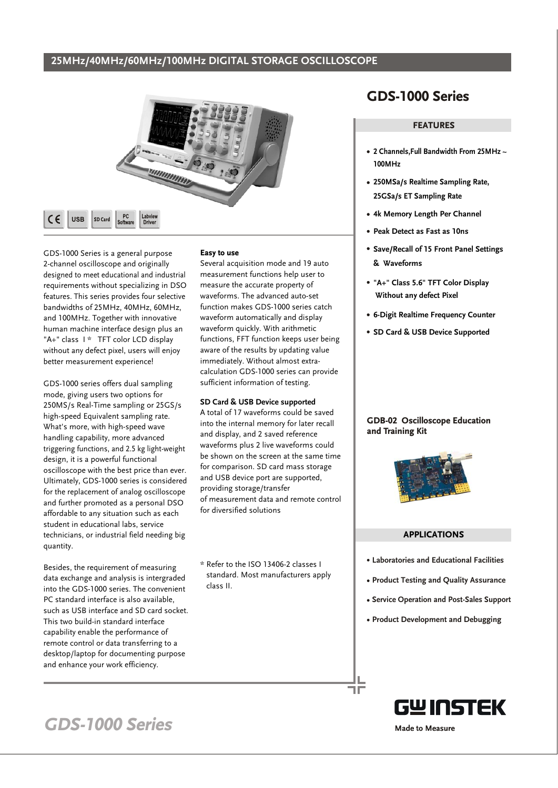### **25MHz/40MHz/60MHz/100MHz DIGITAL STORAGE OSCILLOSCOPE**



GDS-1000 Series is a general purpose 2-channel oscilloscope and originally designed to meet educational and industrial requirements without specializing in DSO features. This series provides four selective bandwidths of 25MHz, 40MHz, 60MHz, and 100MHz. Together with innovative human machine interface design plus an "A+" class I \* TFT color LCD display without any defect pixel, users will enjoy better measurement experience!

 $\epsilon$ 

**USB** 

GDS-1000 series offers dual sampling mode, giving users two options for 250MS/s Real-Time sampling or 25GS/s high-speed Equivalent sampling rate. What's more, with high-speed wave handling capability, more advanced triggering functions, and 2.5 kg light-weight design, it is a powerful functional oscilloscope with the best price than ever. Ultimately, GDS-1000 series is considered for the replacement of analog oscilloscope and further promoted as a personal DSO affordable to any situation such as each student in educational labs, service technicians, or industrial field needing big quantity.

Besides, the requirement of measuring data exchange and analysis is intergraded into the GDS-1000 series. The convenient PC standard interface is also available, such as USB interface and SD card socket. This two build-in standard interface capability enable the performance of remote control or data transferring to a desktop/laptop for documenting purpose and enhance your work efficiency.

#### **Easy to use**

Several acquisition mode and 19 auto measurement functions help user to measure the accurate property of waveforms. The advanced auto-set function makes GDS-1000 series catch waveform automatically and display waveform quickly. With arithmetic functions, FFT function keeps user being aware of the results by updating value immediately. Without almost extracalculation GDS-1000 series can provide sufficient information of testing.

#### **SD Card & USB Device supported**

A total of 17 waveforms could be saved into the internal memory for later recall and display, and 2 saved reference waveforms plus 2 live waveforms could be shown on the screen at the same time for comparison. SD card mass storage and USB device port are supported, providing storage/transfer of measurement data and remote control for diversified solutions

\* Refer to the ISO 13406-2 classes I standard. Most manufacturers apply class II.

### **GDS-1000 Series**

#### **FEATURES**

- **2 Channels,Full Bandwidth From 25MHz ~ 100MHz**
- **250MSa/s Realtime Sampling Rate, 25GSa/s ET Sampling Rate**
- **4k Memory Length Per Channel**
- **Peak Detect as Fast as 10ns**
- **Save/Recall of 15 Front Panel Settings & Waveforms**
- **"A+" Class 5.6" TFT Color Display Without any defect Pixel**
- **6-Digit Realtime Frequency Counter**
- **SD Card & USB Device Supported**

#### **GDB-02 Oscilloscope Education and Training Kit**



#### **APPLICATIONS**

- **Laboratories and Educational Facilities**
- **Product Testing and Quality Assurance**
- **Service Operation and Post-Sales Support**
- **Product Development and Debugging**



## **GDS-1000 Series**

**Made to Measure**